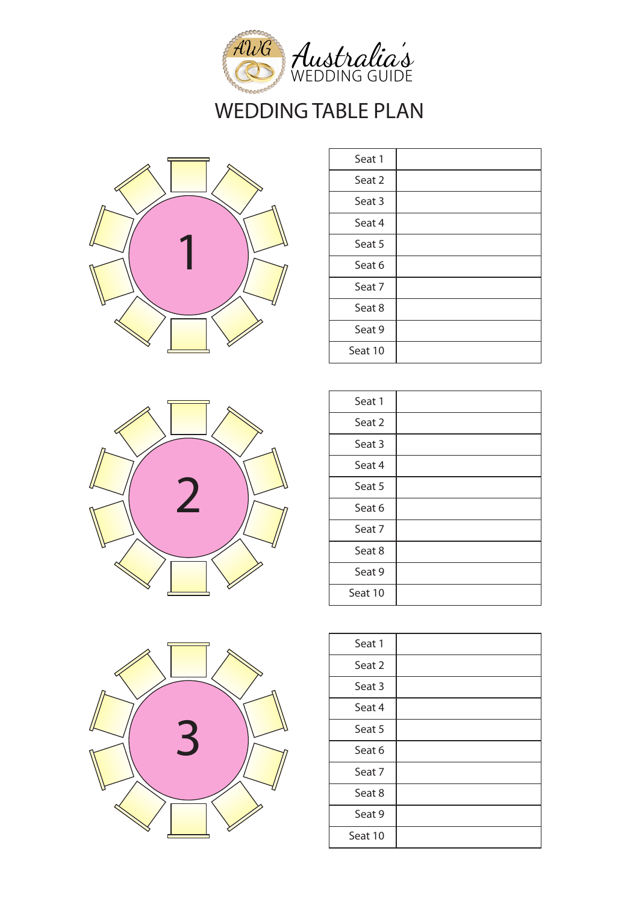



| Seat 1  |  |
|---------|--|
| Seat 2  |  |
| Seat 3  |  |
| Seat 4  |  |
| Seat 5  |  |
| Seat 6  |  |
| Seat 7  |  |
| Seat 8  |  |
| Seat 9  |  |
| Seat 10 |  |



| Seat 1  |  |
|---------|--|
| Seat 2  |  |
| Seat 3  |  |
| Seat 4  |  |
| Seat 5  |  |
| Seat 6  |  |
| Seat 7  |  |
| Seat 8  |  |
| Seat 9  |  |
| Seat 10 |  |
|         |  |



| Seat 1  |  |
|---------|--|
| Seat 2  |  |
| Seat 3  |  |
| Seat 4  |  |
| Seat 5  |  |
| Seat 6  |  |
| Seat 7  |  |
| Seat 8  |  |
| Seat 9  |  |
| Seat 10 |  |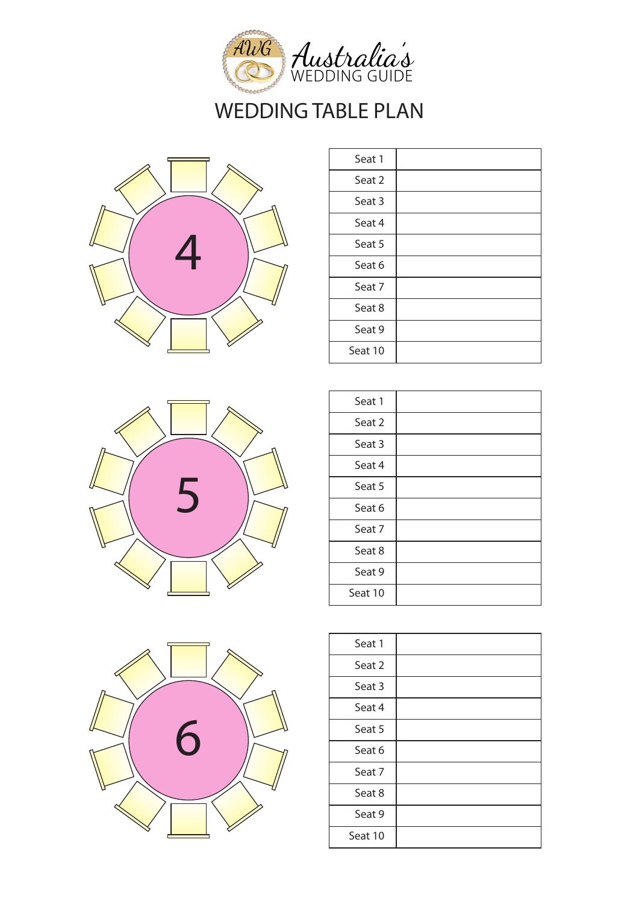



| Seat 1  |  |
|---------|--|
| Seat 2  |  |
| Seat 3  |  |
| Seat 4  |  |
| Seat 5  |  |
| Seat 6  |  |
| Seat 7  |  |
| Seat 8  |  |
| Seat 9  |  |
| Seat 10 |  |





| Seat 1  |  |
|---------|--|
| Seat 2  |  |
| Seat 3  |  |
| Seat 4  |  |
| Seat 5  |  |
| Seat 6  |  |
| Seat 7  |  |
| Seat 8  |  |
| Seat 9  |  |
| Seat 10 |  |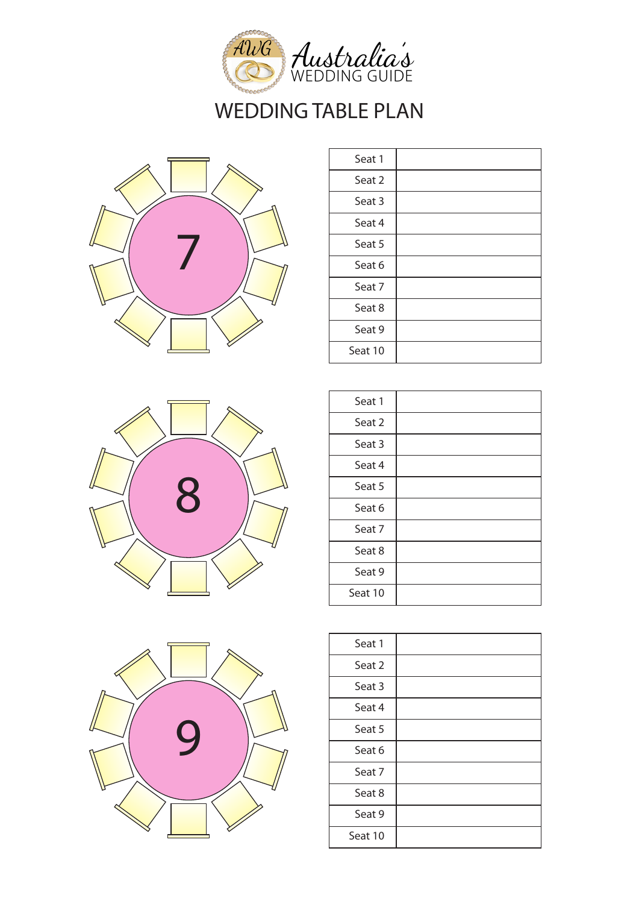



| Seat 1  |  |
|---------|--|
| Seat 2  |  |
| Seat 3  |  |
| Seat 4  |  |
| Seat 5  |  |
| Seat 6  |  |
| Seat 7  |  |
| Seat 8  |  |
| Seat 9  |  |
| Seat 10 |  |



| Seat 1  |  |
|---------|--|
| Seat 2  |  |
| Seat 3  |  |
| Seat 4  |  |
| Seat 5  |  |
| Seat 6  |  |
| Seat 7  |  |
| Seat 8  |  |
| Seat 9  |  |
| Seat 10 |  |



| Seat 1  |  |
|---------|--|
| Seat 2  |  |
| Seat 3  |  |
| Seat 4  |  |
| Seat 5  |  |
| Seat 6  |  |
| Seat 7  |  |
| Seat 8  |  |
| Seat 9  |  |
| Seat 10 |  |